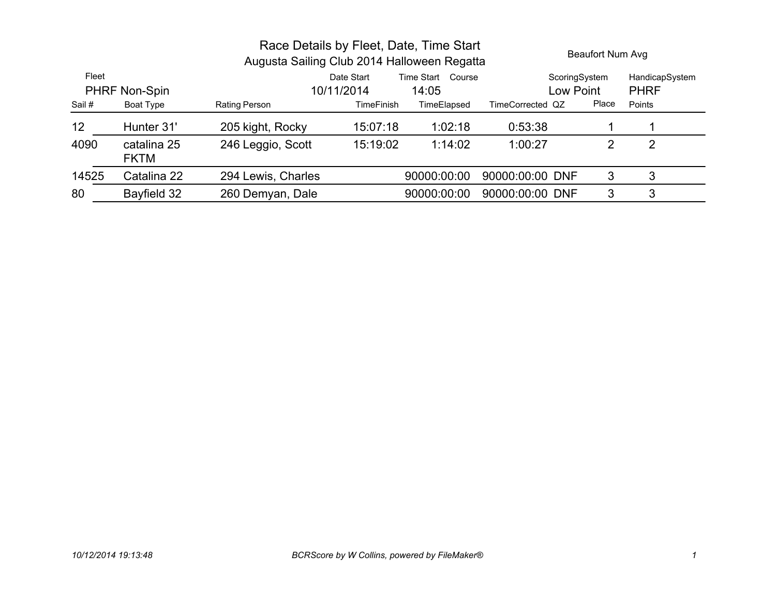|                        |                            | Race Details by Fleet, Date, Time Start<br>Augusta Sailing Club 2014 Halloween Regatta |                          |                               |                  |                            | Beaufort Num Avg              |  |
|------------------------|----------------------------|----------------------------------------------------------------------------------------|--------------------------|-------------------------------|------------------|----------------------------|-------------------------------|--|
| Fleet<br>PHRF Non-Spin |                            |                                                                                        | Date Start<br>10/11/2014 | Time Start<br>Course<br>14:05 |                  | ScoringSystem<br>Low Point | HandicapSystem<br><b>PHRF</b> |  |
| Sail #                 | Boat Type                  | Rating Person                                                                          | <b>TimeFinish</b>        | TimeElapsed                   | TimeCorrected QZ | Place                      | Points                        |  |
| 12                     | Hunter 31'                 | 205 kight, Rocky                                                                       | 15:07:18                 | 1:02:18                       | 0:53:38          |                            |                               |  |
| 4090                   | catalina 25<br><b>FKTM</b> | 246 Leggio, Scott                                                                      | 15:19:02                 | 1:14:02                       | 1:00:27          | 2                          | 2                             |  |
| 14525                  | Catalina 22                | 294 Lewis, Charles                                                                     |                          | 90000:00:00                   | 90000:00:00 DNF  | 3                          | 3                             |  |
| 80                     | Bayfield 32                | 260 Demyan, Dale                                                                       |                          | 90000:00:00                   | 90000:00:00 DNF  | 3                          | 3                             |  |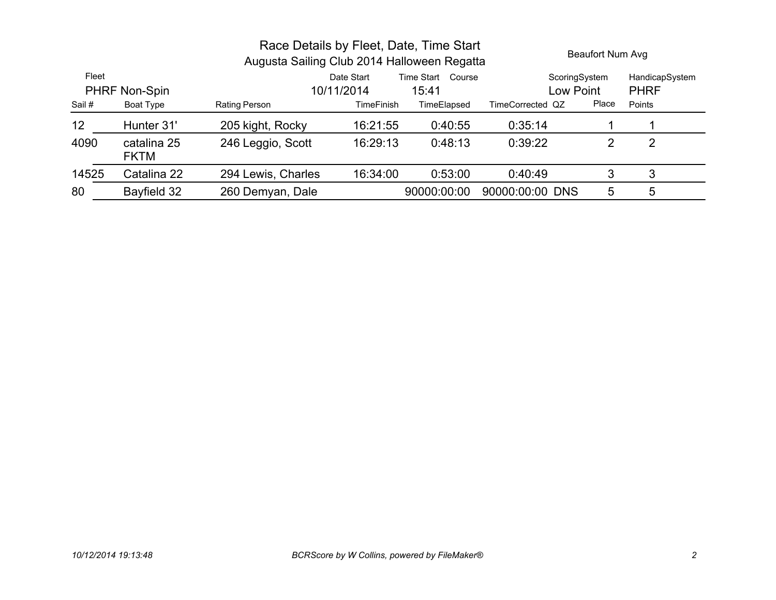|                        |                            | Race Details by Fleet, Date, Time Start<br>Augusta Sailing Club 2014 Halloween Regatta |                          | Beaufort Num Avg           |                  |                           |                               |
|------------------------|----------------------------|----------------------------------------------------------------------------------------|--------------------------|----------------------------|------------------|---------------------------|-------------------------------|
| Fleet<br>PHRF Non-Spin |                            |                                                                                        | Date Start<br>10/11/2014 | Time Start Course<br>15:41 |                  | ScoringSystem<br>ow Point | HandicapSystem<br><b>PHRF</b> |
| Sail#                  | Boat Type                  | Rating Person                                                                          | <b>TimeFinish</b>        | TimeElapsed                | TimeCorrected QZ | Place                     | Points                        |
| 12                     | Hunter 31'                 | 205 kight, Rocky                                                                       | 16:21:55                 | 0:40:55                    | 0:35:14          |                           |                               |
| 4090                   | catalina 25<br><b>FKTM</b> | 246 Leggio, Scott                                                                      | 16:29:13                 | 0:48:13                    | 0:39:22          | 2                         | 2                             |
| 14525                  | Catalina 22                | 294 Lewis, Charles                                                                     | 16:34:00                 | 0:53:00                    | 0:40:49          | 3                         | 3                             |
| 80                     | Bayfield 32                | 260 Demyan, Dale                                                                       |                          | 90000:00:00                | 90000:00:00 DNS  | 5                         | 5                             |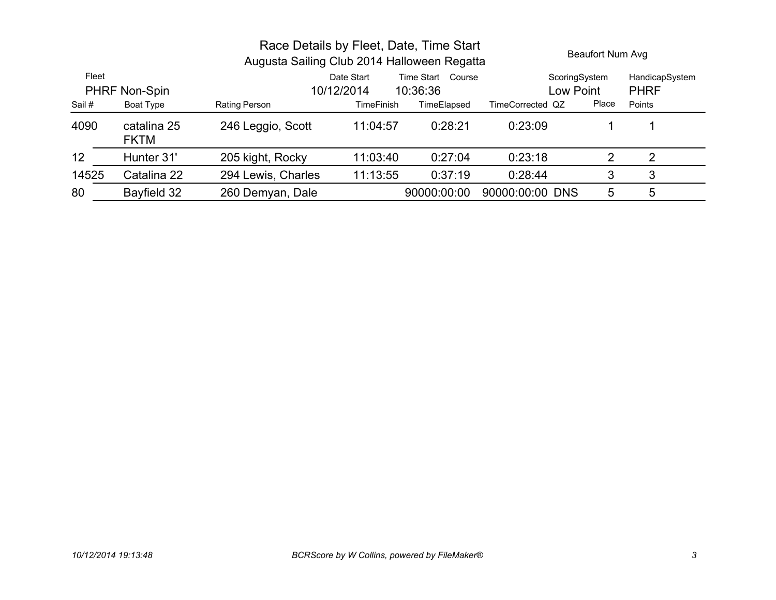|       | Race Details by Fleet, Date, Time Start<br>Augusta Sailing Club 2014 Halloween Regatta |                    |                          |                               |                  | Beaufort Num Avg |                               |  |
|-------|----------------------------------------------------------------------------------------|--------------------|--------------------------|-------------------------------|------------------|------------------|-------------------------------|--|
| Fleet | PHRF Non-Spin                                                                          |                    | Date Start<br>10/12/2014 | Time Start Course<br>10:36:36 | Low Point        | ScoringSystem    | HandicapSystem<br><b>PHRF</b> |  |
| Sail# | Boat Type                                                                              | Rating Person      | <b>TimeFinish</b>        | TimeElapsed                   | TimeCorrected QZ | Place            | Points                        |  |
| 4090  | catalina 25<br><b>FKTM</b>                                                             | 246 Leggio, Scott  | 11:04:57                 | 0:28:21                       | 0:23:09          |                  |                               |  |
| 12    | Hunter 31'                                                                             | 205 kight, Rocky   | 11:03:40                 | 0:27:04                       | 0:23:18          | 2                | 2                             |  |
| 14525 | Catalina 22                                                                            | 294 Lewis, Charles | 11:13:55                 | 0:37:19                       | 0:28:44          | 3                | 3                             |  |
| 80    | Bayfield 32                                                                            | 260 Demyan, Dale   |                          | 90000:00:00                   | 90000:00:00 DNS  | 5                | 5                             |  |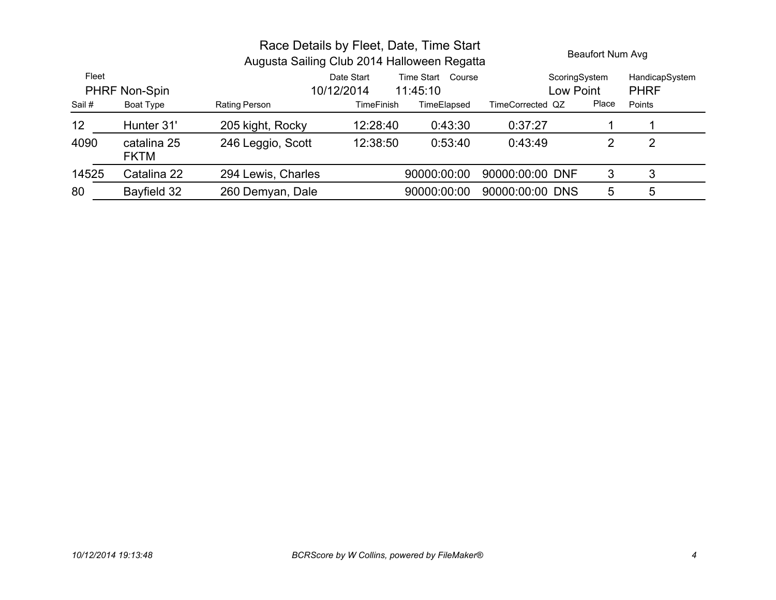|                        |                            | Race Details by Fleet, Date, Time Start<br>Augusta Sailing Club 2014 Halloween Regatta |                   |             |                           |                               | Beaufort Num Avg |  |
|------------------------|----------------------------|----------------------------------------------------------------------------------------|-------------------|-------------|---------------------------|-------------------------------|------------------|--|
| Fleet<br>PHRF Non-Spin |                            | Date Start<br>Time Start Course<br>10/12/2014<br>11:45:10                              |                   |             | ScoringSystem<br>ow Point | HandicapSystem<br><b>PHRF</b> |                  |  |
| Sail #                 | Boat Type                  | Rating Person                                                                          | <b>TimeFinish</b> | TimeElapsed | TimeCorrected QZ          | Place                         | Points           |  |
| 12                     | Hunter 31'                 | 205 kight, Rocky                                                                       | 12:28:40          | 0:43:30     | 0:37:27                   |                               |                  |  |
| 4090                   | catalina 25<br><b>FKTM</b> | 246 Leggio, Scott                                                                      | 12:38:50          | 0:53:40     | 0:43:49                   | 2                             | 2                |  |
| 14525                  | Catalina 22                | 294 Lewis, Charles                                                                     |                   | 90000:00:00 | 90000:00:00 DNF           | 3                             | 3                |  |
| 80                     | Bayfield 32                | 260 Demyan, Dale                                                                       |                   | 90000:00:00 | 90000:00:00 DNS           | 5                             | 5                |  |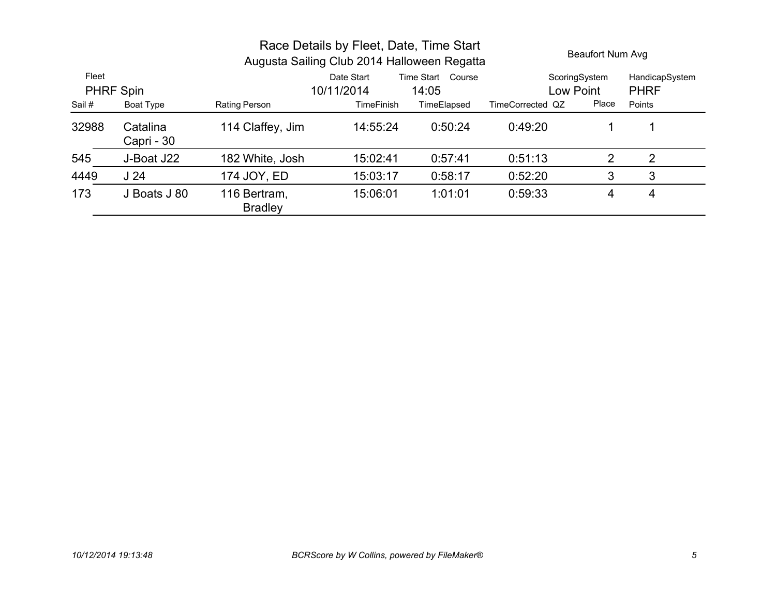|                                          |                        | Race Details by Fleet, Date, Time Start<br>Augusta Sailing Club 2014 Halloween Regatta |                   |             |                  |               | Beaufort Num Avg |  |
|------------------------------------------|------------------------|----------------------------------------------------------------------------------------|-------------------|-------------|------------------|---------------|------------------|--|
| Fleet<br>Date Start<br>Time Start Course |                        |                                                                                        |                   |             |                  | ScoringSystem | HandicapSystem   |  |
|                                          | <b>PHRF Spin</b>       |                                                                                        | 10/11/2014        | 14:05       |                  | Low Point     | <b>PHRF</b>      |  |
| Sail#                                    | Boat Type              | Rating Person                                                                          | <b>TimeFinish</b> | TimeElapsed | TimeCorrected QZ | Place         | Points           |  |
| 32988                                    | Catalina<br>Capri - 30 | 114 Claffey, Jim                                                                       | 14:55:24          | 0:50:24     | 0:49:20          |               |                  |  |
| 545                                      | J-Boat J22             | 182 White, Josh                                                                        | 15:02:41          | 0:57:41     | 0.51.13          | 2             | 2                |  |
| 4449                                     | J <sub>24</sub>        | 174 JOY, ED                                                                            | 15:03:17          | 0:58:17     | 0.52:20          | 3             | 3                |  |
| 173                                      | J Boats J 80           | 116 Bertram,<br><b>Bradley</b>                                                         | 15:06:01          | 1:01:01     | 0:59:33          | 4             | 4                |  |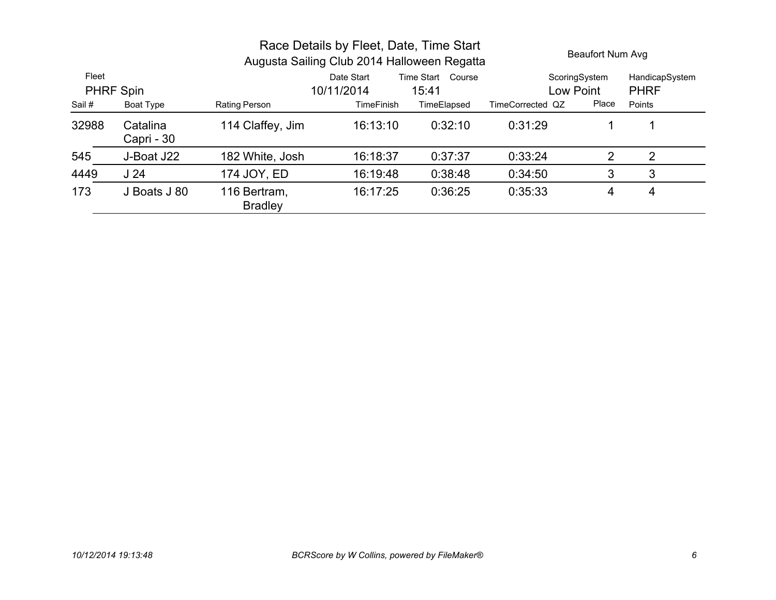|                                                    |                        | Race Details by Fleet, Date, Time Start<br>Augusta Sailing Club 2014 Halloween Regatta |                   |             |                  | <b>Beaufort Num Avg</b> |                |
|----------------------------------------------------|------------------------|----------------------------------------------------------------------------------------|-------------------|-------------|------------------|-------------------------|----------------|
| Fleet<br><b>Time Start</b><br>Date Start<br>Course |                        |                                                                                        |                   |             |                  | ScoringSystem           | HandicapSystem |
|                                                    | <b>PHRF Spin</b>       |                                                                                        | 10/11/2014        | 15:41       |                  | Low Point               | <b>PHRF</b>    |
| Sail#                                              | Boat Type              | Rating Person                                                                          | <b>TimeFinish</b> | TimeElapsed | TimeCorrected QZ | Place                   | Points         |
| 32988                                              | Catalina<br>Capri - 30 | 114 Claffey, Jim                                                                       | 16:13:10          | 0:32:10     | 0:31:29          |                         |                |
| 545                                                | J-Boat J22             | 182 White, Josh                                                                        | 16:18:37          | 0:37:37     | 0:33:24          | 2                       | 2              |
| 4449                                               | J <sub>24</sub>        | 174 JOY, ED                                                                            | 16:19:48          | 0:38:48     | 0:34:50          | 3                       | 3              |
| 173                                                | J Boats J 80           | 116 Bertram,<br><b>Bradley</b>                                                         | 16:17:25          | 0:36:25     | 0:35:33          | 4                       | 4              |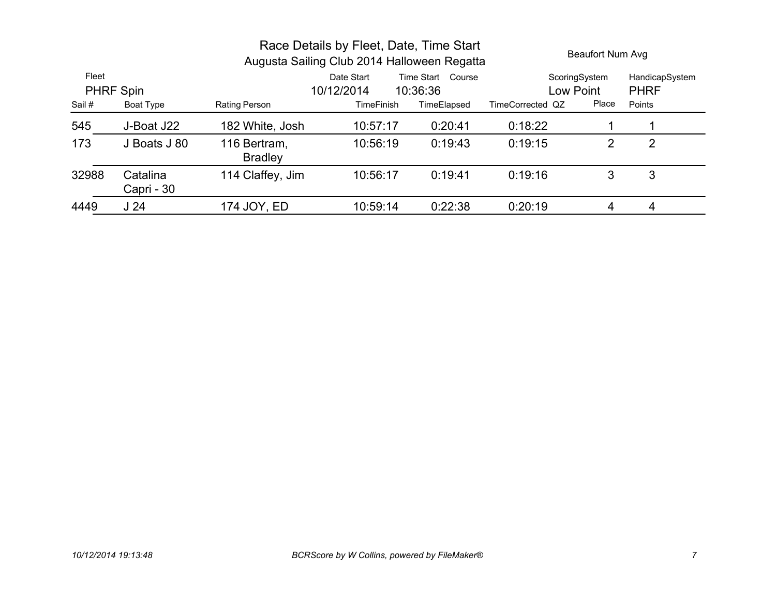| Race Details by Fleet, Date, Time Start<br>Augusta Sailing Club 2014 Halloween Regatta |                        |                                |                                                                     |             |                  | Beaufort Num Avg |                               |
|----------------------------------------------------------------------------------------|------------------------|--------------------------------|---------------------------------------------------------------------|-------------|------------------|------------------|-------------------------------|
| Fleet<br><b>PHRF Spin</b>                                                              |                        |                                | <b>Time Start</b><br>Course<br>Date Start<br>10/12/2014<br>10:36:36 |             | Low Point        | ScoringSystem    | HandicapSystem<br><b>PHRF</b> |
| Sail #                                                                                 | Boat Type              | <b>Rating Person</b>           | <b>TimeFinish</b>                                                   | TimeElapsed | TimeCorrected QZ | Place            | Points                        |
| 545                                                                                    | J-Boat J22             | 182 White, Josh                | 10:57:17                                                            | 0:20:41     | 0:18:22          |                  |                               |
| 173                                                                                    | J Boats J 80           | 116 Bertram,<br><b>Bradley</b> | 10:56:19                                                            | 0:19:43     | 0:19:15          | 2                | 2                             |
| 32988                                                                                  | Catalina<br>Capri - 30 | 114 Claffey, Jim               | 10:56:17                                                            | 0:19:41     | 0:19:16          | 3                | 3                             |
| 4449                                                                                   | J <sub>24</sub>        | 174 JOY, ED                    | 10:59:14                                                            | 0:22:38     | 0:20:19          | 4                | 4                             |